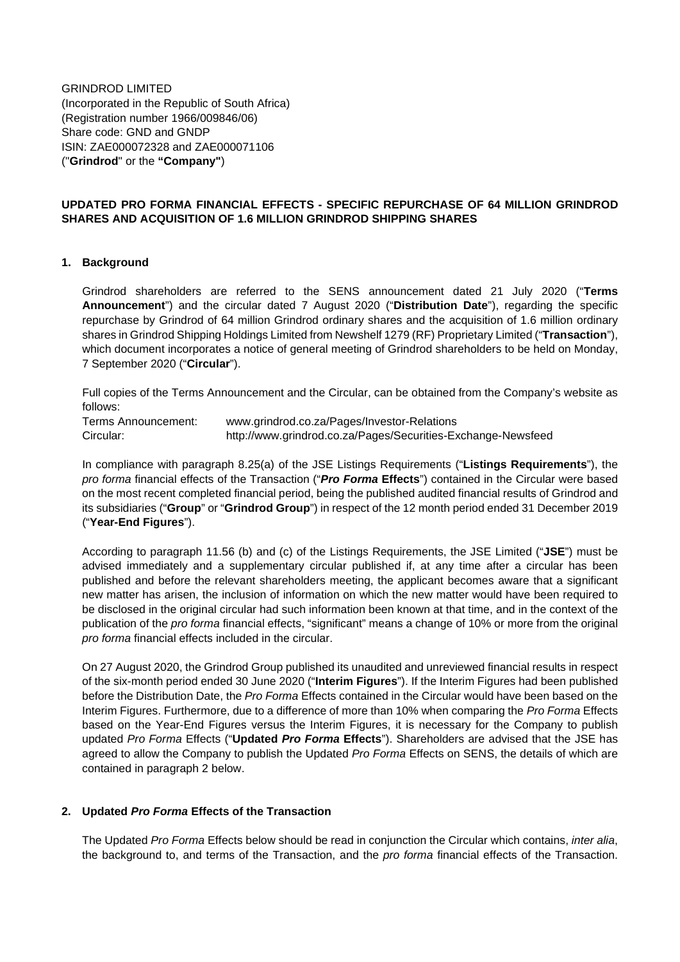GRINDROD LIMITED (Incorporated in the Republic of South Africa) (Registration number 1966/009846/06) Share code: GND and GNDP ISIN: ZAE000072328 and ZAE000071106 ("**Grindrod**" or the **"Company"**)

## **UPDATED PRO FORMA FINANCIAL EFFECTS - SPECIFIC REPURCHASE OF 64 MILLION GRINDROD SHARES AND ACQUISITION OF 1.6 MILLION GRINDROD SHIPPING SHARES**

### **1. Background**

Grindrod shareholders are referred to the SENS announcement dated 21 July 2020 ("**Terms Announcement**") and the circular dated 7 August 2020 ("**Distribution Date**"), regarding the specific repurchase by Grindrod of 64 million Grindrod ordinary shares and the acquisition of 1.6 million ordinary shares in Grindrod Shipping Holdings Limited from Newshelf 1279 (RF) Proprietary Limited ("**Transaction**"), which document incorporates a notice of general meeting of Grindrod shareholders to be held on Monday, 7 September 2020 ("**Circular**").

Full copies of the Terms Announcement and the Circular, can be obtained from the Company's website as follows:

Terms Announcement: [www.grindrod.co.za/Pages/Investor-Relations](http://www.grindrod.co.za/Pages/Investor-Relations) Circular: http://www.grindrod.co.za/Pages/Securities-Exchange-Newsfeed

In compliance with paragraph 8.25(a) of the JSE Listings Requirements ("**Listings Requirements**"), the *pro forma* financial effects of the Transaction ("*Pro Forma* **Effects**") contained in the Circular were based on the most recent completed financial period, being the published audited financial results of Grindrod and its subsidiaries ("**Group**" or "**Grindrod Group**") in respect of the 12 month period ended 31 December 2019 ("**Year-End Figures**").

According to paragraph 11.56 (b) and (c) of the Listings Requirements, the JSE Limited ("**JSE**") must be advised immediately and a supplementary circular published if, at any time after a circular has been published and before the relevant shareholders meeting, the applicant becomes aware that a significant new matter has arisen, the inclusion of information on which the new matter would have been required to be disclosed in the original circular had such information been known at that time, and in the context of the publication of the *pro forma* financial effects, "significant" means a change of 10% or more from the original *pro forma* financial effects included in the circular.

On 27 August 2020, the Grindrod Group published its unaudited and unreviewed financial results in respect of the six-month period ended 30 June 2020 ("**Interim Figures**"). If the Interim Figures had been published before the Distribution Date, the *Pro Forma* Effects contained in the Circular would have been based on the Interim Figures. Furthermore, due to a difference of more than 10% when comparing the *Pro Forma* Effects based on the Year-End Figures versus the Interim Figures, it is necessary for the Company to publish updated *Pro Forma* Effects ("**Updated** *Pro Forma* **Effects**"). Shareholders are advised that the JSE has agreed to allow the Company to publish the Updated *Pro Forma* Effects on SENS, the details of which are contained in paragraph 2 below.

#### **2. Updated** *Pro Forma* **Effects of the Transaction**

The Updated *Pro Forma* Effects below should be read in conjunction the Circular which contains, *inter alia*, the background to, and terms of the Transaction, and the *pro forma* financial effects of the Transaction.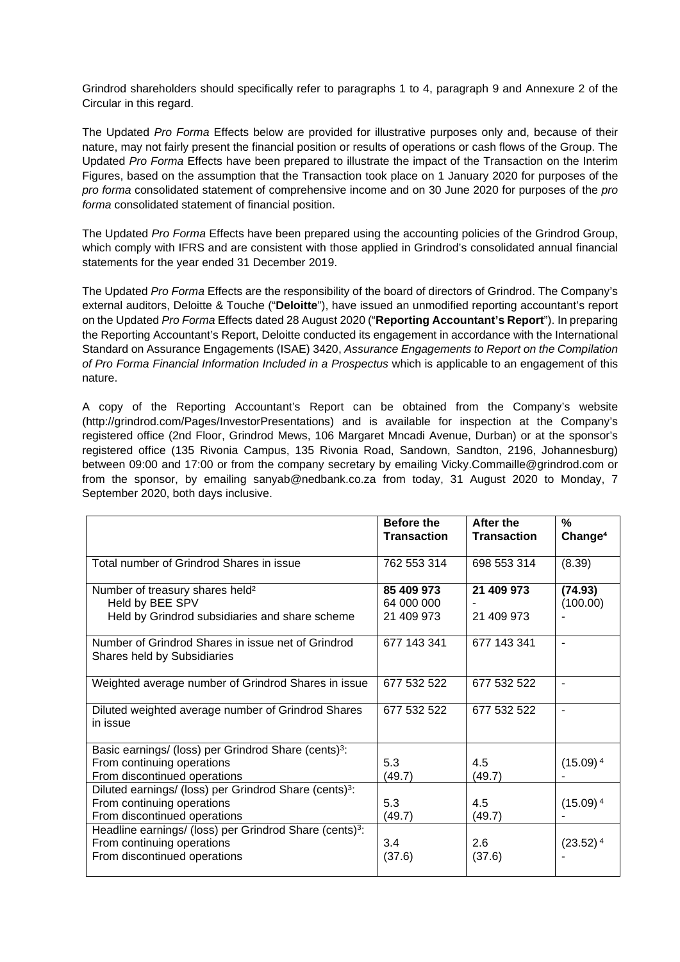Grindrod shareholders should specifically refer to paragraphs 1 to 4, paragraph 9 and Annexure 2 of the Circular in this regard.

The Updated *Pro Forma* Effects below are provided for illustrative purposes only and, because of their nature, may not fairly present the financial position or results of operations or cash flows of the Group. The Updated *Pro Forma* Effects have been prepared to illustrate the impact of the Transaction on the Interim Figures, based on the assumption that the Transaction took place on 1 January 2020 for purposes of the *pro forma* consolidated statement of comprehensive income and on 30 June 2020 for purposes of the *pro forma* consolidated statement of financial position.

The Updated *Pro Forma* Effects have been prepared using the accounting policies of the Grindrod Group, which comply with IFRS and are consistent with those applied in Grindrod's consolidated annual financial statements for the year ended 31 December 2019.

The Updated *Pro Forma* Effects are the responsibility of the board of directors of Grindrod. The Company's external auditors, Deloitte & Touche ("**Deloitte**"), have issued an unmodified reporting accountant's report on the Updated *Pro Forma* Effects dated 28 August 2020 ("**Reporting Accountant's Report**"). In preparing the Reporting Accountant's Report, Deloitte conducted its engagement in accordance with the International Standard on Assurance Engagements (ISAE) 3420, *Assurance Engagements to Report on the Compilation of Pro Forma Financial Information Included in a Prospectus* which is applicable to an engagement of this nature.

A copy of the Reporting Accountant's Report can be obtained from the Company's website (http://grindrod.com/Pages/InvestorPresentations) and is available for inspection at the Company's registered office (2nd Floor, Grindrod Mews, 106 Margaret Mncadi Avenue, Durban) or at the sponsor's registered office (135 Rivonia Campus, 135 Rivonia Road, Sandown, Sandton, 2196, Johannesburg) between 09:00 and 17:00 or from the company secretary by emailing Vicky.Commaille@grindrod.com or from the sponsor, by emailing sanyab@nedbank.co.za from today, 31 August 2020 to Monday, 7 September 2020, both days inclusive.

|                                                                                                                                   | <b>Before the</b><br><b>Transaction</b> | After the<br><b>Transaction</b> | $\%$<br>Change <sup>4</sup> |
|-----------------------------------------------------------------------------------------------------------------------------------|-----------------------------------------|---------------------------------|-----------------------------|
| Total number of Grindrod Shares in issue                                                                                          | 762 553 314                             | 698 553 314                     | (8.39)                      |
| Number of treasury shares held <sup>2</sup><br>Held by BEE SPV<br>Held by Grindrod subsidiaries and share scheme                  | 85 409 973<br>64 000 000<br>21 409 973  | 21 409 973<br>21 409 973        | (74.93)<br>(100.00)         |
| Number of Grindrod Shares in issue net of Grindrod<br><b>Shares held by Subsidiaries</b>                                          | 677 143 341                             | 677 143 341                     | $\blacksquare$              |
| Weighted average number of Grindrod Shares in issue                                                                               | 677 532 522                             | 677 532 522                     |                             |
| Diluted weighted average number of Grindrod Shares<br>in issue                                                                    | 677 532 522                             | 677 532 522                     | $\blacksquare$              |
| Basic earnings/ (loss) per Grindrod Share (cents) <sup>3</sup> :<br>From continuing operations<br>From discontinued operations    | 5.3<br>(49.7)                           | 4.5<br>(49.7)                   | $(15.09)^4$                 |
| Diluted earnings/ (loss) per Grindrod Share (cents) <sup>3</sup> :<br>From continuing operations<br>From discontinued operations  | 5.3<br>(49.7)                           | 4.5<br>(49.7)                   | $(15.09)^4$                 |
| Headline earnings/ (loss) per Grindrod Share (cents) <sup>3</sup> :<br>From continuing operations<br>From discontinued operations | 3.4<br>(37.6)                           | 2.6<br>(37.6)                   | $(23.52)^4$                 |